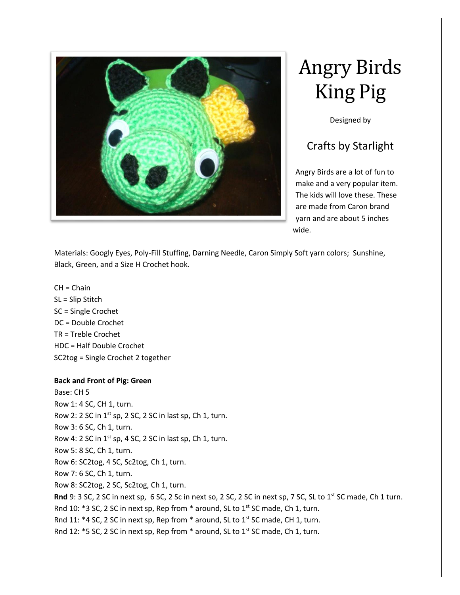

# Angry Birds King Pig

Designed by

# Crafts by Starlight

Angry Birds are a lot of fun to make and a very popular item. The kids will love these. These are made from Caron brand yarn and are about 5 inches wide.

Materials: Googly Eyes, Poly-Fill Stuffing, Darning Needle, Caron Simply Soft yarn colors; Sunshine, Black, Green, and a Size H Crochet hook.

 $CH = Chain$ SL = Slip Stitch SC = Single Crochet DC = Double Crochet TR = Treble Crochet HDC = Half Double Crochet SC2tog = Single Crochet 2 together

# **Back and Front of Pig: Green**

Base: CH 5 Row 1: 4 SC, CH 1, turn. Row 2: 2 SC in 1<sup>st</sup> sp, 2 SC, 2 SC in last sp, Ch 1, turn. Row 3: 6 SC, Ch 1, turn. Row 4: 2 SC in  $1^{st}$  sp, 4 SC, 2 SC in last sp, Ch 1, turn. Row 5: 8 SC, Ch 1, turn. Row 6: SC2tog, 4 SC, Sc2tog, Ch 1, turn. Row 7: 6 SC, Ch 1, turn. Row 8: SC2tog, 2 SC, Sc2tog, Ch 1, turn. **Rnd** 9: 3 SC, 2 SC in next sp, 6 SC, 2 Sc in next so, 2 SC, 2 SC in next sp, 7 SC, SL to 1<sup>st</sup> SC made, Ch 1 turn. Rnd 10:  $*3$  SC, 2 SC in next sp, Rep from  $*$  around, SL to 1st SC made, Ch 1, turn. Rnd 11: \*4 SC, 2 SC in next sp, Rep from \* around, SL to  $1^{st}$  SC made, CH 1, turn. Rnd 12: \*5 SC, 2 SC in next sp, Rep from \* around, SL to 1<sup>st</sup> SC made, Ch 1, turn.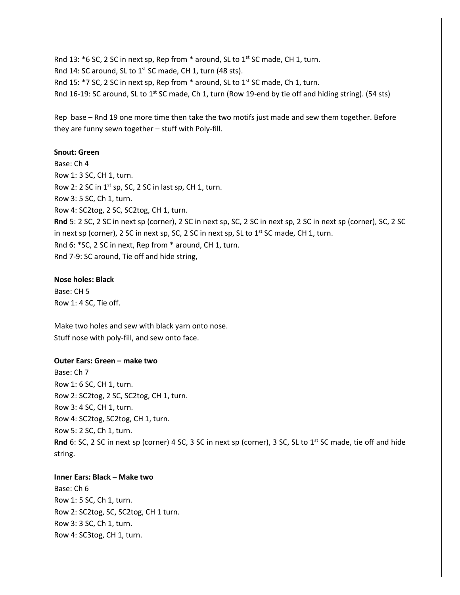Rnd 13: \*6 SC, 2 SC in next sp, Rep from \* around, SL to 1<sup>st</sup> SC made, CH 1, turn. Rnd 14: SC around, SL to  $1^{st}$  SC made, CH 1, turn (48 sts). Rnd 15: \*7 SC, 2 SC in next sp, Rep from \* around, SL to 1st SC made, Ch 1, turn. Rnd 16-19: SC around, SL to 1<sup>st</sup> SC made, Ch 1, turn (Row 19-end by tie off and hiding string). (54 sts)

Rep base – Rnd 19 one more time then take the two motifs just made and sew them together. Before they are funny sewn together – stuff with Poly-fill.

### **Snout: Green**

Base: Ch 4 Row 1: 3 SC, CH 1, turn. Row 2: 2 SC in  $1^{st}$  sp, SC, 2 SC in last sp, CH 1, turn. Row 3: 5 SC, Ch 1, turn. Row 4: SC2tog, 2 SC, SC2tog, CH 1, turn. **Rnd** 5: 2 SC, 2 SC in next sp (corner), 2 SC in next sp, SC, 2 SC in next sp, 2 SC in next sp (corner), SC, 2 SC in next sp (corner), 2 SC in next sp, SC, 2 SC in next sp, SL to  $1<sup>st</sup>$  SC made, CH 1, turn. Rnd 6: \*SC, 2 SC in next, Rep from \* around, CH 1, turn. Rnd 7-9: SC around, Tie off and hide string,

#### **Nose holes: Black**

Base: CH 5 Row 1: 4 SC, Tie off.

Make two holes and sew with black yarn onto nose. Stuff nose with poly-fill, and sew onto face.

#### **Outer Ears: Green – make two**

Base: Ch 7 Row 1: 6 SC, CH 1, turn. Row 2: SC2tog, 2 SC, SC2tog, CH 1, turn. Row 3: 4 SC, CH 1, turn. Row 4: SC2tog, SC2tog, CH 1, turn. Row 5: 2 SC, Ch 1, turn. Rnd 6: SC, 2 SC in next sp (corner) 4 SC, 3 SC in next sp (corner), 3 SC, SL to 1<sup>st</sup> SC made, tie off and hide string.

## **Inner Ears: Black – Make two**

Base: Ch 6 Row 1: 5 SC, Ch 1, turn. Row 2: SC2tog, SC, SC2tog, CH 1 turn. Row 3: 3 SC, Ch 1, turn. Row 4: SC3tog, CH 1, turn.